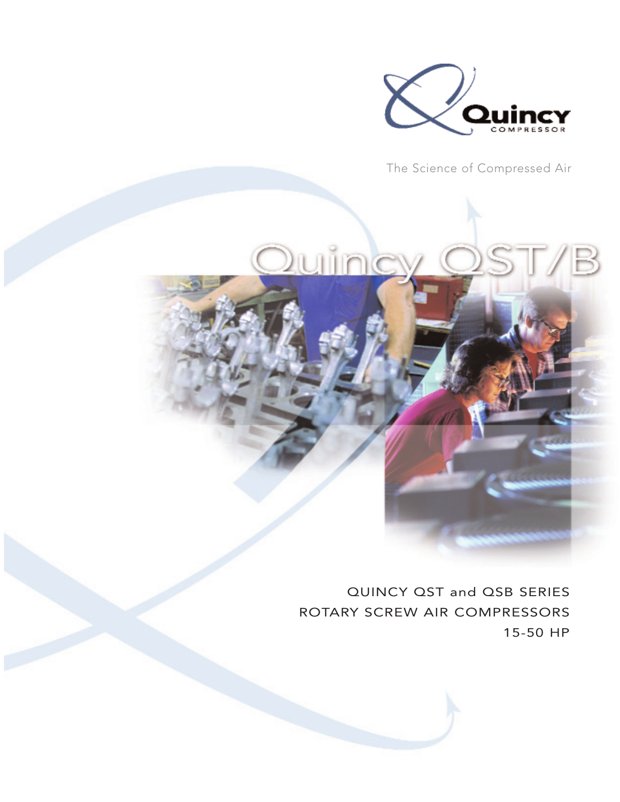

The Science of Compressed Air



QUINCY QST and QSB SERIES ROTARY SCREW AIR COMPRESSORS 15-50 HP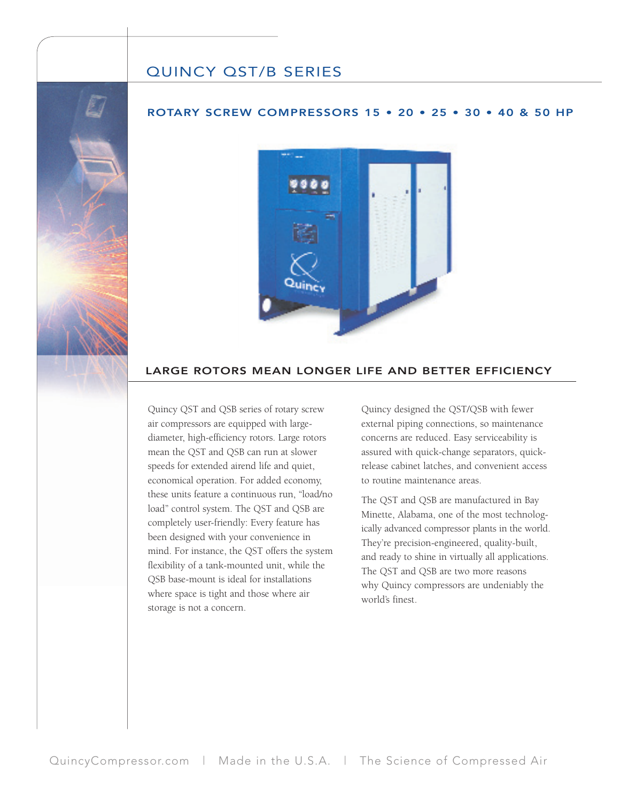## QUINCY QST/B SERIES

## ROTARY SCREW COMPRESSORS 15 • 20 • 25 • 30 • 40 & 50 HP



## LARGE ROTORS MEAN LONGER LIFE AND BETTER EFFICIENCY

Quincy QST and QSB series of rotary screw air compressors are equipped with largediameter, high-efficiency rotors. Large rotors mean the QST and QSB can run at slower speeds for extended airend life and quiet, economical operation. For added economy, these units feature a continuous run, "load/no load" control system. The QST and QSB are completely user-friendly: Every feature has been designed with your convenience in mind. For instance, the QST offers the system flexibility of a tank-mounted unit, while the QSB base-mount is ideal for installations where space is tight and those where air storage is not a concern.

Quincy designed the QST/QSB with fewer external piping connections, so maintenance concerns are reduced. Easy serviceability is assured with quick-change separators, quickrelease cabinet latches, and convenient access to routine maintenance areas.

The QST and QSB are manufactured in Bay Minette, Alabama, one of the most technologically advanced compressor plants in the world. They're precision-engineered, quality-built, and ready to shine in virtually all applications. The QST and QSB are two more reasons why Quincy compressors are undeniably the world's finest.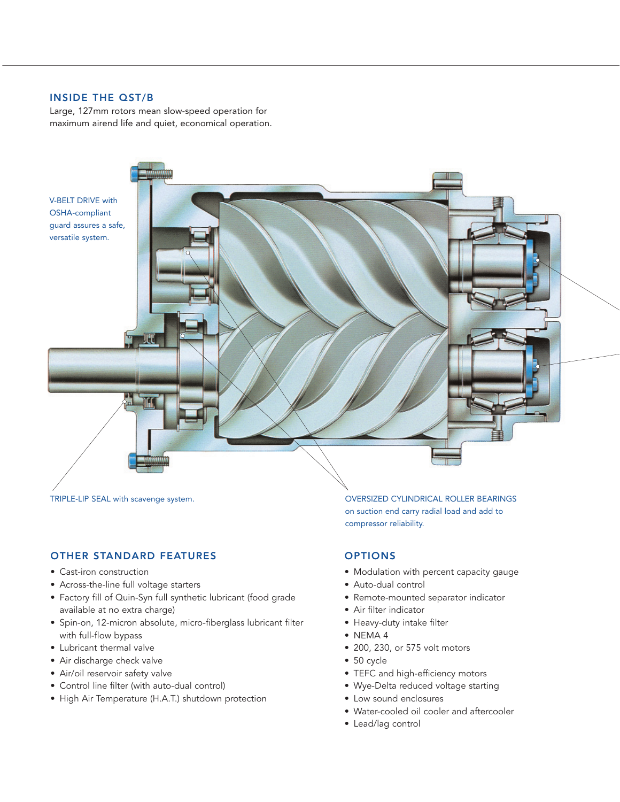## INSIDE THE QST/B

Large, 127mm rotors mean slow-speed operation for maximum airend life and quiet, economical operation.



## OTHER STANDARD FEATURES

- Cast-iron construction
- Across-the-line full voltage starters
- Factory fill of Quin-Syn full synthetic lubricant (food grade available at no extra charge)
- Spin-on, 12-micron absolute, micro-fiberglass lubricant filter with full-flow bypass
- Lubricant thermal valve
- Air discharge check valve
- Air/oil reservoir safety valve
- Control line filter (with auto-dual control)
- High Air Temperature (H.A.T.) shutdown protection

TRIPLE-LIP SEAL with scavenge system. TRIPLE-LIP SEAL with scavenge system. on suction end carry radial load and add to compressor reliability.

## OPTIONS

- Modulation with percent capacity gauge
- Auto-dual control
- Remote-mounted separator indicator
- Air filter indicator
- Heavy-duty intake filter
- NEMA 4
- 200, 230, or 575 volt motors
- 50 cycle
- TEFC and high-efficiency motors
- Wye-Delta reduced voltage starting
- Low sound enclosures
- Water-cooled oil cooler and aftercooler
- Lead/lag control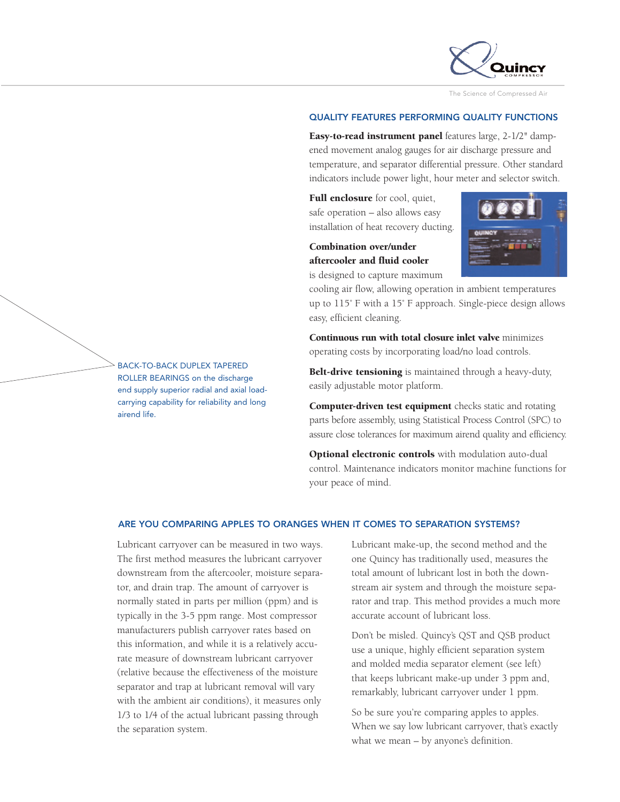

The Science of Compressed Air

#### QUALITY FEATURES PERFORMING QUALITY FUNCTIONS

**Easy-to-read instrument panel** features large, 2-1/2" dampened movement analog gauges for air discharge pressure and temperature, and separator differential pressure. Other standard indicators include power light, hour meter and selector switch.

**Full enclosure** for cool, quiet, safe operation – also allows easy installation of heat recovery ducting.

## **Combination over/under aftercooler and fluid cooler** is designed to capture maximum



cooling air flow, allowing operation in ambient temperatures up to 115˚ F with a 15˚ F approach. Single-piece design allows easy, efficient cleaning.

**Continuous run with total closure inlet valve** minimizes operating costs by incorporating load/no load controls.

**Belt-drive tensioning** is maintained through a heavy-duty, easily adjustable motor platform.

**Computer-driven test equipment** checks static and rotating parts before assembly, using Statistical Process Control (SPC) to assure close tolerances for maximum airend quality and efficiency.

**Optional electronic controls** with modulation auto-dual control. Maintenance indicators monitor machine functions for your peace of mind.

#### ARE YOU COMPARING APPLES TO ORANGES WHEN IT COMES TO SEPARATION SYSTEMS?

Lubricant carryover can be measured in two ways. The first method measures the lubricant carryover downstream from the aftercooler, moisture separator, and drain trap. The amount of carryover is normally stated in parts per million (ppm) and is typically in the 3-5 ppm range. Most compressor manufacturers publish carryover rates based on this information, and while it is a relatively accurate measure of downstream lubricant carryover (relative because the effectiveness of the moisture separator and trap at lubricant removal will vary with the ambient air conditions), it measures only 1/3 to 1/4 of the actual lubricant passing through the separation system.

Lubricant make-up, the second method and the one Quincy has traditionally used, measures the total amount of lubricant lost in both the downstream air system and through the moisture separator and trap. This method provides a much more accurate account of lubricant loss.

Don't be misled. Quincy's QST and QSB product use a unique, highly efficient separation system and molded media separator element (see left) that keeps lubricant make-up under 3 ppm and, remarkably, lubricant carryover under 1 ppm.

So be sure you're comparing apples to apples. When we say low lubricant carryover, that's exactly what we mean – by anyone's definition.

BACK-TO-BACK DUPLEX TAPERED ROLLER BEARINGS on the discharge end supply superior radial and axial loadcarrying capability for reliability and long airend life.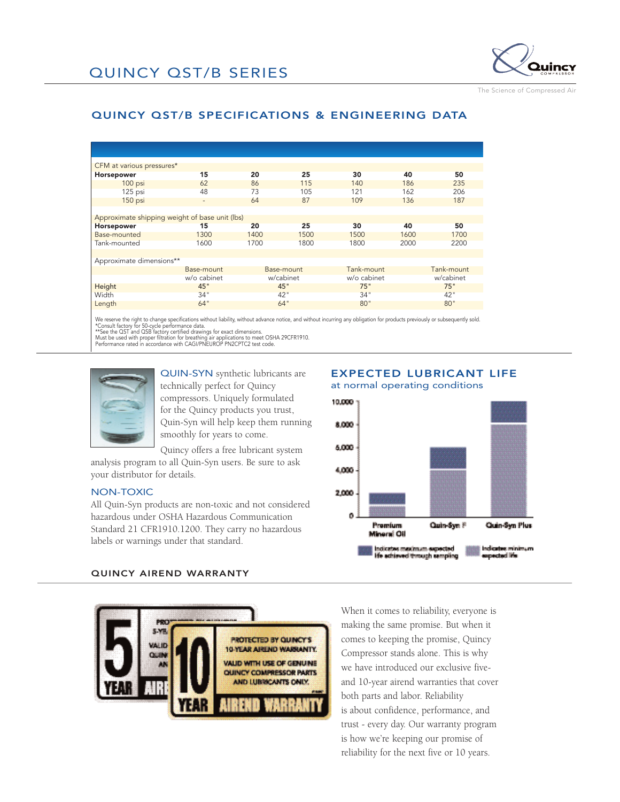

The Science of Compressed Air

## QUINCY QST/B SPECIFICATIONS & ENGINEERING DATA

| CFM at various pressures*                      |                          |            |      |                 |      |            |
|------------------------------------------------|--------------------------|------------|------|-----------------|------|------------|
| <b>Horsepower</b>                              | 15                       | 20         | 25   | 30              | 40   | 50         |
| 100 psi                                        | 62                       | 86         | 115  | 140             | 186  | 235        |
| 125 psi                                        | 48                       | 73         | 105  | 121             | 162  | 206        |
| 150 psi                                        | $\overline{\phantom{a}}$ | 64         | 87   | 109             | 136  | 187        |
|                                                |                          |            |      |                 |      |            |
| Approximate shipping weight of base unit (lbs) |                          |            |      |                 |      |            |
| <b>Horsepower</b>                              | 15                       | 20         | 25   | 30 <sub>2</sub> | 40   | 50         |
| Base-mounted                                   | 1300                     | 1400       | 1500 | 1500            | 1600 | 1700       |
| Tank-mounted                                   | 1600                     | 1700       | 1800 | 1800            | 2000 | 2200       |
|                                                |                          |            |      |                 |      |            |
| Approximate dimensions**                       |                          |            |      |                 |      |            |
|                                                | Base-mount               | Base-mount |      | Tank-mount      |      | Tank-mount |
|                                                | w/o cabinet              | w/cabinet  |      | w/o cabinet     |      | w/cabinet  |
|                                                |                          |            |      |                 |      |            |
| Height                                         | 45"                      | 45"        |      | 75"             |      | 75"        |
| Width                                          | 34"                      | 42"        |      | 34"             |      | 42"        |
| Length                                         | 64"                      | 64"        |      | 80"             |      | 80"        |
|                                                |                          |            |      |                 |      |            |

We reserve the right to change specifications without liability, without advance notice, and without incurring any obligation for products previously or subsequently sold.<br>\*\*See the QST and QSB factory certified drawings f



QUIN-SYN synthetic lubricants are technically perfect for Quincy compressors. Uniquely formulated for the Quincy products you trust, Quin-Syn will help keep them running smoothly for years to come.

Quincy offers a free lubricant system analysis program to all Quin-Syn users. Be sure to ask your distributor for details.

#### NON-TOXIC

All Quin-Syn products are non-toxic and not considered hazardous under OSHA Hazardous Communication Standard 21 CFR1910.1200. They carry no hazardous labels or warnings under that standard.

### EXPECTED LUBRICANT LIFE at normal operating conditions



#### QUINCY AIREND WARRANTY



When it comes to reliability, everyone is making the same promise. But when it comes to keeping the promise, Quincy Compressor stands alone. This is why we have introduced our exclusive fiveand 10-year airend warranties that cover both parts and labor. Reliability is about confidence, performance, and trust - every day. Our warranty program is how we're keeping our promise of reliability for the next five or 10 years.